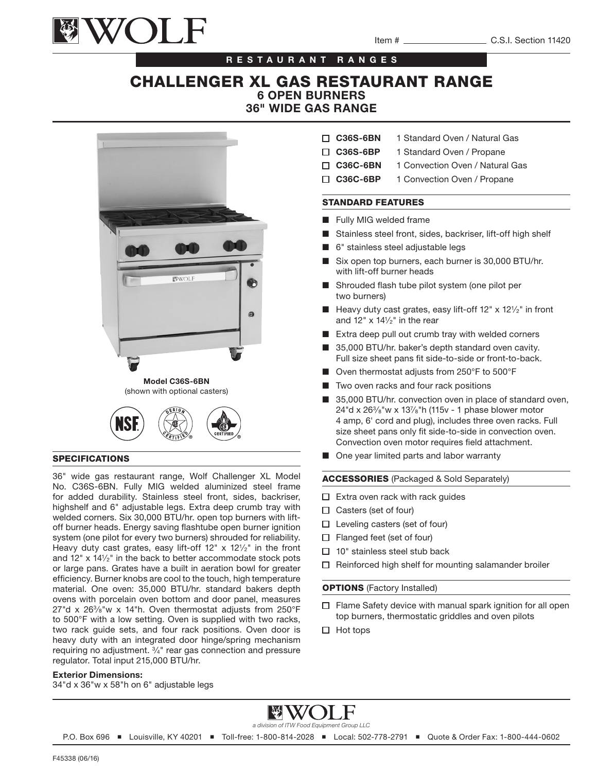

### RESTAURANT RANGES

# CHALLENGER XL GAS RESTAURANT RANGE 6 OPEN BURNERS 36" WIDE GAS RANGE





#### SPECIFICATIONS

36" wide gas restaurant range, Wolf Challenger XL Model No. C36S-6BN. Fully MIG welded aluminized steel frame for added durability. Stainless steel front, sides, backriser, highshelf and 6" adjustable legs. Extra deep crumb tray with welded corners. Six 30,000 BTU/hr. open top burners with liftoff burner heads. Energy saving flashtube open burner ignition system (one pilot for every two burners) shrouded for reliability. Heavy duty cast grates, easy lift-off  $12'' \times 12^{1/2''}$  in the front and 12" x 141⁄2" in the back to better accommodate stock pots or large pans. Grates have a built in aeration bowl for greater efficiency. Burner knobs are cool to the touch, high temperature material. One oven: 35,000 BTU/hr. standard bakers depth ovens with porcelain oven bottom and door panel, measures 27"d x  $26\frac{3}{8}$ "w x 14"h. Oven thermostat adjusts from  $250^{\circ}$ F to 500°F with a low setting. Oven is supplied with two racks, two rack guide sets, and four rack positions. Oven door is heavy duty with an integrated door hinge/spring mechanism requiring no adjustment. 3⁄4" rear gas connection and pressure regulator. Total input 215,000 BTU/hr.

#### Exterior Dimensions:

34"d x 36"w x 58"h on 6" adjustable legs

- □ C36S-6BN 1 Standard Oven / Natural Gas
- □ C36S-6BP 1 Standard Oven / Propane
- □ C36C-6BN 1 Convection Oven / Natural Gas
- □ C36C-6BP 1 Convection Oven / Propane

### STANDARD FEATURES

- Fully MIG welded frame
- Stainless steel front, sides, backriser, lift-off high shelf
- 6" stainless steel adjustable legs
- Six open top burners, each burner is 30,000 BTU/hr. with lift-off burner heads
- Shrouded flash tube pilot system (one pilot per two burners)
- Heavy duty cast grates, easy lift-off 12" x 121/2" in front and  $12" \times 14\frac{1}{2}$ " in the rear
- Extra deep pull out crumb tray with welded corners
- 35,000 BTU/hr. baker's depth standard oven cavity. Full size sheet pans fit side-to-side or front-to-back.
- Oven thermostat adjusts from 250°F to 500°F
- Two oven racks and four rack positions
- 35,000 BTU/hr. convection oven in place of standard oven, 24"d x 263⁄8"w x 137⁄8"h (115v - 1 phase blower motor 4 amp, 6' cord and plug), includes three oven racks. Full size sheet pans only fit side-to-side in convection oven. Convection oven motor requires field attachment.
- One year limited parts and labor warranty

#### ACCESSORIES (Packaged & Sold Separately)

- $\Box$  Extra oven rack with rack guides
- $\Box$  Casters (set of four)
- $\Box$  Leveling casters (set of four)
- $\Box$  Flanged feet (set of four)
- $\Box$  10" stainless steel stub back
- $\Box$  Reinforced high shelf for mounting salamander broiler

#### **OPTIONS** (Factory Installed)

- $\Box$  Flame Safety device with manual spark ignition for all open top burners, thermostatic griddles and oven pilots
- $\Box$  Hot tops